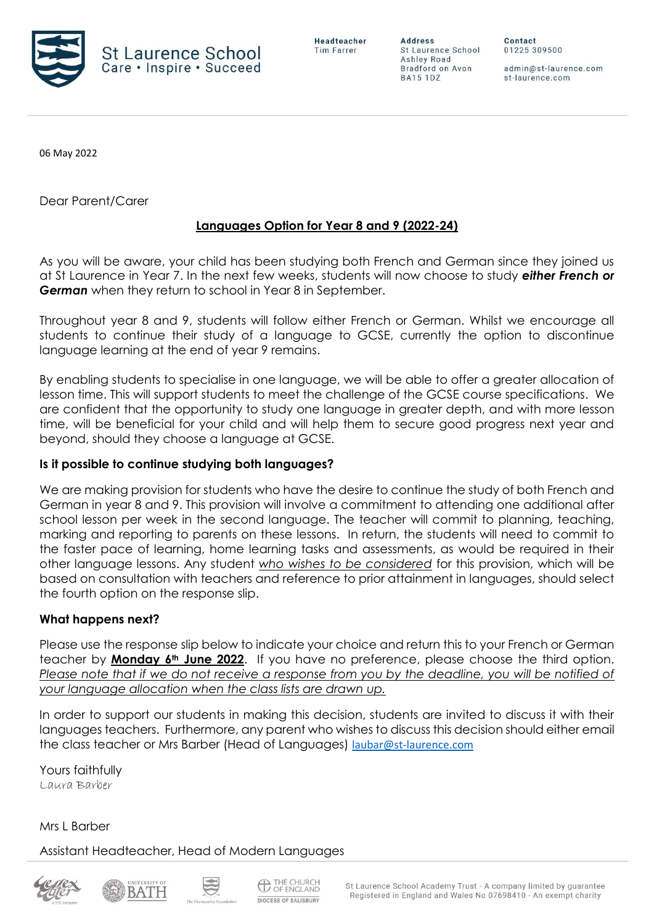

**Address** St Laurence School Ashley Road Bradford on Avon **BA15 1DZ** 

Contact 01225 309500

admin@st-laurence.com st-laurence.com

06 May 2022

Dear Parent/Carer

## **Languages Option for Year 8 and 9 (2022-24)**

As you will be aware, your child has been studying both French and German since they joined us at St Laurence in Year 7. In the next few weeks, students will now choose to study *either French or German* when they return to school in Year 8 in September.

Throughout year 8 and 9, students will follow either French or German. Whilst we encourage all students to continue their study of a language to GCSE, currently the option to discontinue language learning at the end of year 9 remains.

By enabling students to specialise in one language, we will be able to offer a greater allocation of lesson time. This will support students to meet the challenge of the GCSE course specifications. We are confident that the opportunity to study one language in greater depth, and with more lesson time, will be beneficial for your child and will help them to secure good progress next year and beyond, should they choose a language at GCSE.

## **Is it possible to continue studying both languages?**

We are making provision for students who have the desire to continue the study of both French and German in year 8 and 9. This provision will involve a commitment to attending one additional after school lesson per week in the second language. The teacher will commit to planning, teaching, marking and reporting to parents on these lessons. In return, the students will need to commit to the faster pace of learning, home learning tasks and assessments, as would be required in their other language lessons. Any student *who wishes to be considered* for this provision, which will be based on consultation with teachers and reference to prior attainment in languages, should select the fourth option on the response slip.

## **What happens next?**

Please use the response slip below to indicate your choice and return this to your French or German teacher by **Monday 6th June 2022**. If you have no preference, please choose the third option. *Please note that if we do not receive a response from you by the deadline, you will be notified of your language allocation when the class lists are drawn up.*

In order to support our students in making this decision, students are invited to discuss it with their languages teachers. Furthermore, any parent who wishes to discuss this decision should either email the class teacher or Mrs Barber (Head of Languages) [laubar@st-laurence.com](mailto:laubar@st-laurence.com)

Yours faithfully Laura Barber

Mrs L Barber

Assistant Headteacher, Head of Modern Languages